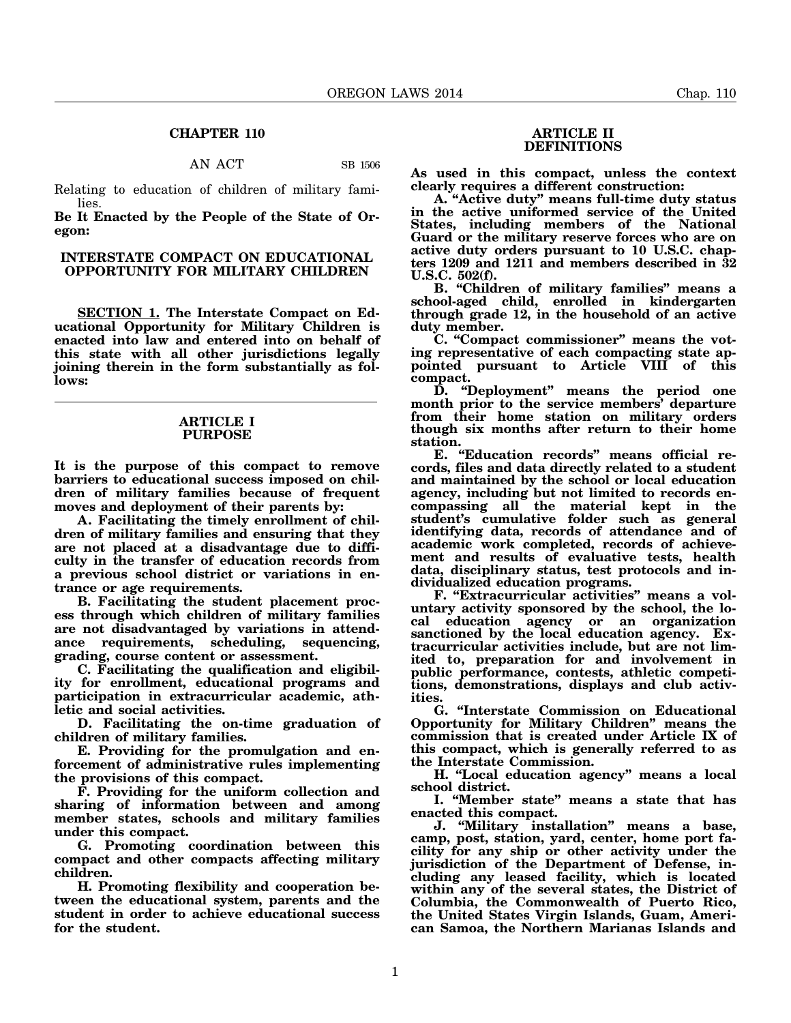### **CHAPTER 110**

AN ACT SB 1506

Relating to education of children of military families.

**Be It Enacted by the People of the State of Oregon:**

## **INTERSTATE COMPACT ON EDUCATIONAL OPPORTUNITY FOR MILITARY CHILDREN**

**SECTION 1. The Interstate Compact on Educational Opportunity for Military Children is enacted into law and entered into on behalf of this state with all other jurisdictions legally joining therein in the form substantially as follows:**

### **ARTICLE I PURPOSE**

**It is the purpose of this compact to remove barriers to educational success imposed on children of military families because of frequent moves and deployment of their parents by:**

**A. Facilitating the timely enrollment of children of military families and ensuring that they are not placed at a disadvantage due to difficulty in the transfer of education records from a previous school district or variations in entrance or age requirements.**

**B. Facilitating the student placement process through which children of military families are not disadvantaged by variations in attendance requirements, scheduling, sequencing, grading, course content or assessment.**

**C. Facilitating the qualification and eligibility for enrollment, educational programs and participation in extracurricular academic, athletic and social activities.**

**D. Facilitating the on-time graduation of children of military families.**

**E. Providing for the promulgation and enforcement of administrative rules implementing the provisions of this compact.**

**F. Providing for the uniform collection and sharing of information between and among member states, schools and military families under this compact.**

**G. Promoting coordination between this compact and other compacts affecting military children.**

**H. Promoting flexibility and cooperation between the educational system, parents and the student in order to achieve educational success for the student.**

### **ARTICLE II DEFINITIONS**

**As used in this compact, unless the context clearly requires a different construction:**

**A. "Active duty" means full-time duty status in the active uniformed service of the United States, including members of the National Guard or the military reserve forces who are on active duty orders pursuant to 10 U.S.C. chapters 1209 and 1211 and members described in 32 U.S.C. 502(f).**

**B. "Children of military families" means a school-aged child, enrolled in kindergarten through grade 12, in the household of an active duty member.**

**C. "Compact commissioner" means the voting representative of each compacting state appointed pursuant to Article VIII of this compact.**

**D. "Deployment" means the period one month prior to the service members' departure from their home station on military orders though six months after return to their home station.**

**E. "Education records" means official records, files and data directly related to a student and maintained by the school or local education agency, including but not limited to records encompassing all the material kept in the student's cumulative folder such as general identifying data, records of attendance and of academic work completed, records of achievement and results of evaluative tests, health data, disciplinary status, test protocols and individualized education programs.**

**F. "Extracurricular activities" means a voluntary activity sponsored by the school, the local education agency or an organization** sanctioned by the local education agency. Ex**tracurricular activities include, but are not limited to, preparation for and involvement in public performance, contests, athletic competitions, demonstrations, displays and club activities.**

**G. "Interstate Commission on Educational Opportunity for Military Children" means the commission that is created under Article IX of this compact, which is generally referred to as the Interstate Commission.**

**H. "Local education agency" means a local school district.**

**I. "Member state" means a state that has enacted this compact.**

**J. "Military installation" means a base, camp, post, station, yard, center, home port facility for any ship or other activity under the jurisdiction of the Department of Defense, including any leased facility, which is located within any of the several states, the District of Columbia, the Commonwealth of Puerto Rico, the United States Virgin Islands, Guam, American Samoa, the Northern Marianas Islands and**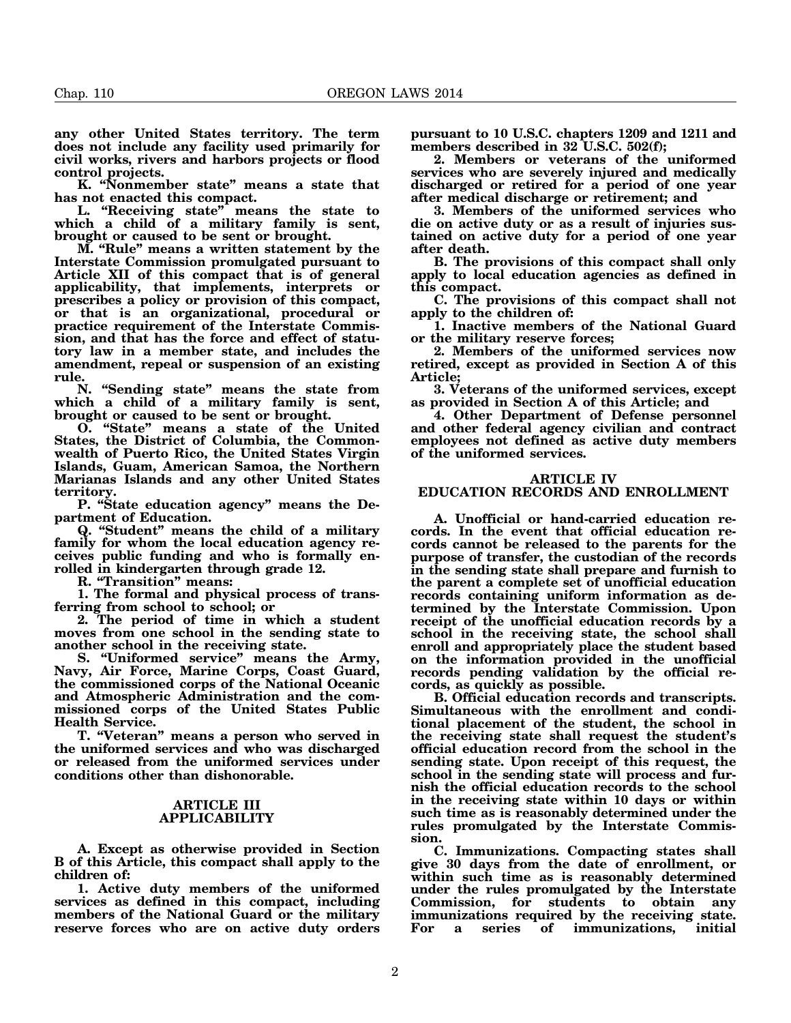**any other United States territory. The term does not include any facility used primarily for civil works, rivers and harbors projects or flood control projects.**

**K. "Nonmember state" means a state that has not enacted this compact.**

**L. "Receiving state" means the state to which a child of a military family is sent, brought or caused to be sent or brought.**

**M. "Rule" means a written statement by the Interstate Commission promulgated pursuant to Article XII of this compact that is of general applicability, that implements, interprets or prescribes a policy or provision of this compact, or that is an organizational, procedural or practice requirement of the Interstate Commission, and that has the force and effect of statutory law in a member state, and includes the amendment, repeal or suspension of an existing rule.**

**N. "Sending state" means the state from which a child of a military family is sent, brought or caused to be sent or brought.**

**O. "State" means a state of the United States, the District of Columbia, the Commonwealth of Puerto Rico, the United States Virgin Islands, Guam, American Samoa, the Northern Marianas Islands and any other United States territory.**

**P. "State education agency" means the Department of Education.**

**Q. "Student" means the child of a military family for whom the local education agency receives public funding and who is formally enrolled in kindergarten through grade 12.**

**R. "Transition" means:**

**1. The formal and physical process of transferring from school to school; or**

**2. The period of time in which a student moves from one school in the sending state to another school in the receiving state.**

**S. "Uniformed service" means the Army, Navy, Air Force, Marine Corps, Coast Guard, the commissioned corps of the National Oceanic and Atmospheric Administration and the commissioned corps of the United States Public Health Service.**

**T. "Veteran" means a person who served in the uniformed services and who was discharged or released from the uniformed services under conditions other than dishonorable.**

### **ARTICLE III APPLICABILITY**

**A. Except as otherwise provided in Section B of this Article, this compact shall apply to the children of:**

**1. Active duty members of the uniformed services as defined in this compact, including members of the National Guard or the military reserve forces who are on active duty orders**

**pursuant to 10 U.S.C. chapters 1209 and 1211 and members described in 32 U.S.C. 502(f);**

**2. Members or veterans of the uniformed services who are severely injured and medically discharged or retired for a period of one year after medical discharge or retirement; and**

**3. Members of the uniformed services who die on active duty or as a result of injuries sustained on active duty for a period of one year after death.**

**B. The provisions of this compact shall only apply to local education agencies as defined in this compact.**

**C. The provisions of this compact shall not apply to the children of:**

**1. Inactive members of the National Guard or the military reserve forces;**

**2. Members of the uniformed services now retired, except as provided in Section A of this Article;**

**3. Veterans of the uniformed services, except as provided in Section A of this Article; and**

**4. Other Department of Defense personnel and other federal agency civilian and contract employees not defined as active duty members of the uniformed services.**

## **ARTICLE IV**

## **EDUCATION RECORDS AND ENROLLMENT**

**A. Unofficial or hand-carried education records. In the event that official education records cannot be released to the parents for the purpose of transfer, the custodian of the records in the sending state shall prepare and furnish to the parent a complete set of unofficial education records containing uniform information as determined by the Interstate Commission. Upon receipt of the unofficial education records by a school in the receiving state, the school shall enroll and appropriately place the student based on the information provided in the unofficial records pending validation by the official records, as quickly as possible.**

**B. Official education records and transcripts. Simultaneous with the enrollment and conditional placement of the student, the school in the receiving state shall request the student's official education record from the school in the sending state. Upon receipt of this request, the school in the sending state will process and furnish the official education records to the school in the receiving state within 10 days or within such time as is reasonably determined under the rules promulgated by the Interstate Commission.**

**C. Immunizations. Compacting states shall give 30 days from the date of enrollment, or within such time as is reasonably determined under the rules promulgated by the Interstate Commission, for students to obtain any immunizations required by the receiving state. immunizations,**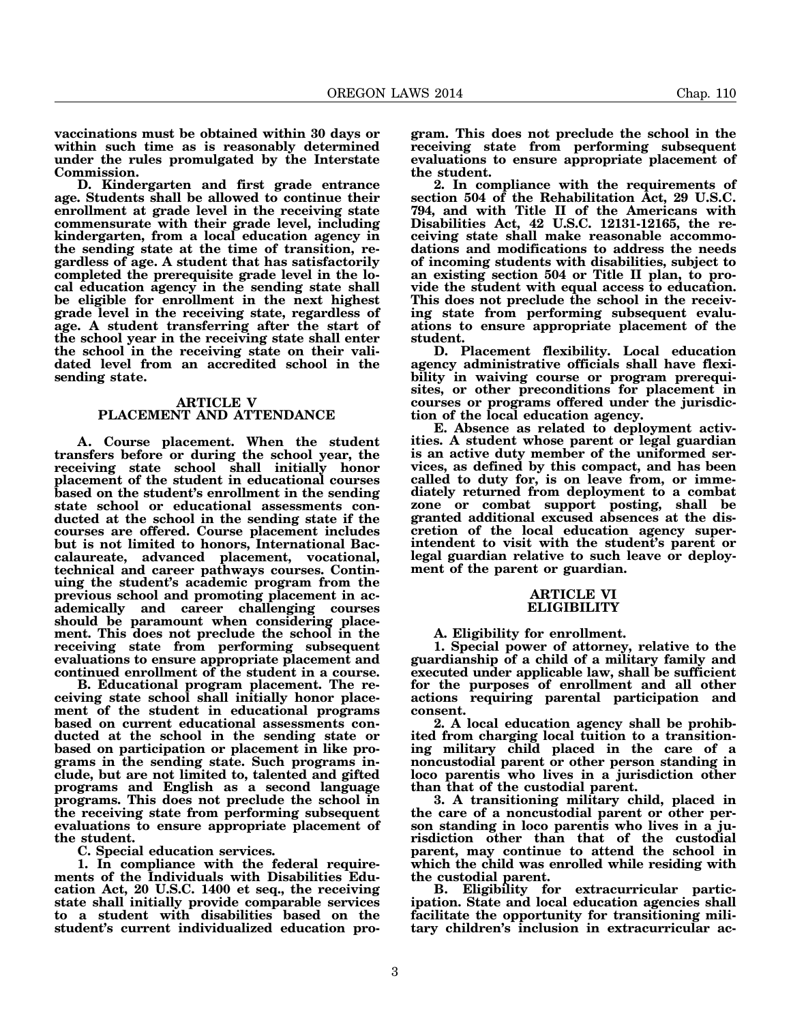**vaccinations must be obtained within 30 days or within such time as is reasonably determined under the rules promulgated by the Interstate Commission.**

**D. Kindergarten and first grade entrance age. Students shall be allowed to continue their enrollment at grade level in the receiving state commensurate with their grade level, including kindergarten, from a local education agency in the sending state at the time of transition, regardless of age. A student that has satisfactorily completed the prerequisite grade level in the local education agency in the sending state shall be eligible for enrollment in the next highest grade level in the receiving state, regardless of age. A student transferring after the start of the school year in the receiving state shall enter the school in the receiving state on their validated level from an accredited school in the sending state.**

## **ARTICLE V PLACEMENT AND ATTENDANCE**

**A. Course placement. When the student transfers before or during the school year, the receiving state school shall initially honor placement of the student in educational courses based on the student's enrollment in the sending state school or educational assessments conducted at the school in the sending state if the courses are offered. Course placement includes but is not limited to honors, International Baccalaureate, advanced placement, vocational, technical and career pathways courses. Continuing the student's academic program from the previous school and promoting placement in academically and career challenging courses should be paramount when considering placement. This does not preclude the school in the receiving state from performing subsequent evaluations to ensure appropriate placement and continued enrollment of the student in a course.**

**B. Educational program placement. The receiving state school shall initially honor placement of the student in educational programs based on current educational assessments conducted at the school in the sending state or based on participation or placement in like programs in the sending state. Such programs include, but are not limited to, talented and gifted programs and English as a second language programs. This does not preclude the school in the receiving state from performing subsequent evaluations to ensure appropriate placement of the student.**

**C. Special education services.**

**1. In compliance with the federal requirements of the Individuals with Disabilities Education Act, 20 U.S.C. 1400 et seq., the receiving state shall initially provide comparable services to a student with disabilities based on the student's current individualized education pro-**

**gram. This does not preclude the school in the receiving state from performing subsequent evaluations to ensure appropriate placement of the student.**

**2. In compliance with the requirements of section 504 of the Rehabilitation Act, 29 U.S.C. 794, and with Title II of the Americans with Disabilities Act, 42 U.S.C. 12131-12165, the receiving state shall make reasonable accommodations and modifications to address the needs of incoming students with disabilities, subject to an existing section 504 or Title II plan, to provide the student with equal access to education.** This does not preclude the school in the receiv**ing state from performing subsequent evaluations to ensure appropriate placement of the student.**

**D. Placement flexibility. Local education agency administrative officials shall have flexibility in waiving course or program prerequisites, or other preconditions for placement in courses or programs offered under the jurisdiction of the local education agency.**

**E. Absence as related to deployment activities. A student whose parent or legal guardian is an active duty member of the uniformed services, as defined by this compact, and has been called to duty for, is on leave from, or immediately returned from deployment to a combat zone or combat support posting, shall be granted additional excused absences at the discretion of the local education agency superintendent to visit with the student's parent or legal guardian relative to such leave or deployment of the parent or guardian.**

# **ARTICLE VI ELIGIBILITY**

**A. Eligibility for enrollment.**

**1. Special power of attorney, relative to the guardianship of a child of a military family and executed under applicable law, shall be sufficient for the purposes of enrollment and all other actions requiring parental participation and consent.**

**2. A local education agency shall be prohibited from charging local tuition to a transitioning military child placed in the care of a noncustodial parent or other person standing in loco parentis who lives in a jurisdiction other than that of the custodial parent.**

**3. A transitioning military child, placed in the care of a noncustodial parent or other person standing in loco parentis who lives in a jurisdiction other than that of the custodial parent, may continue to attend the school in which the child was enrolled while residing with the custodial parent.**

**B. Eligibility for extracurricular participation. State and local education agencies shall facilitate the opportunity for transitioning military children's inclusion in extracurricular ac-**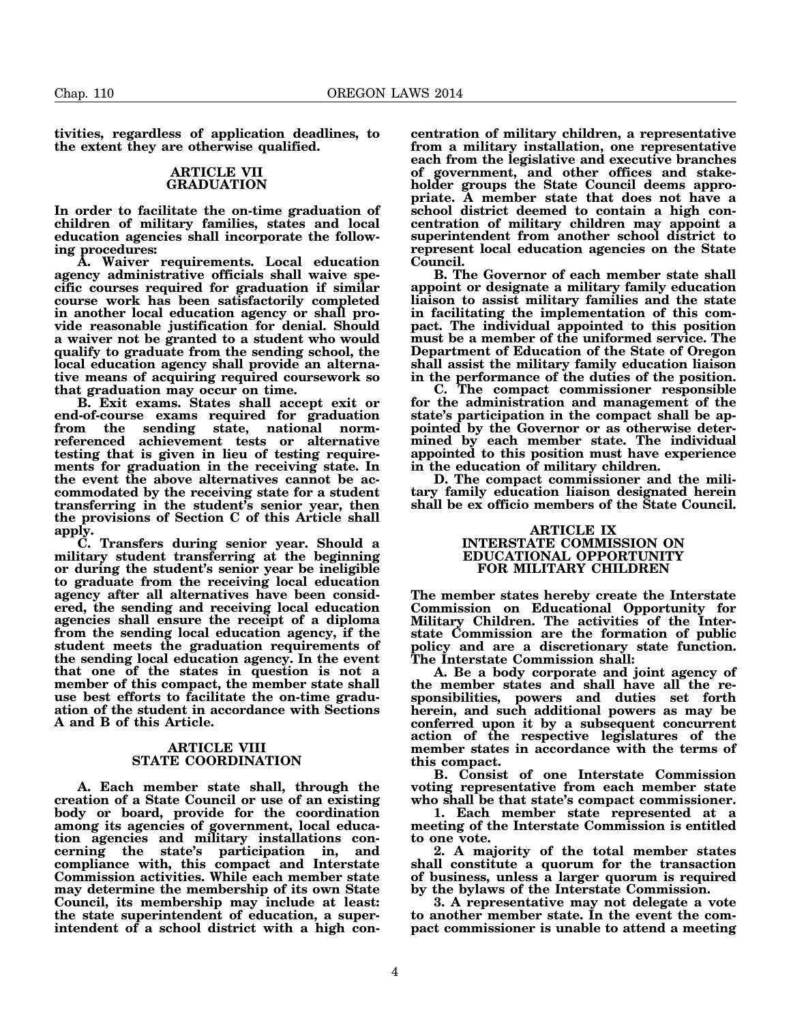**tivities, regardless of application deadlines, to the extent they are otherwise qualified.**

### **ARTICLE VII GRADUATION**

**In order to facilitate the on-time graduation of children of military families, states and local education agencies shall incorporate the following procedures:**

**A. Waiver requirements. Local education agency administrative officials shall waive specific courses required for graduation if similar course work has been satisfactorily completed in another local education agency or shall provide reasonable justification for denial. Should a waiver not be granted to a student who would qualify to graduate from the sending school, the local education agency shall provide an alternative means of acquiring required coursework so that graduation may occur on time.**

**B. Exit exams. States shall accept exit or end-of-course exams required for graduation from the sending state, national normreferenced achievement tests or alternative testing that is given in lieu of testing requirements for graduation in the receiving state. In the event the above alternatives cannot be accommodated by the receiving state for a student transferring in the student's senior year, then the provisions of Section C of this Article shall apply.**

**C. Transfers during senior year. Should a military student transferring at the beginning or during the student's senior year be ineligible to graduate from the receiving local education agency after all alternatives have been considered, the sending and receiving local education agencies shall ensure the receipt of a diploma from the sending local education agency, if the student meets the graduation requirements of the sending local education agency. In the event that one of the states in question is not a member of this compact, the member state shall use best efforts to facilitate the on-time graduation of the student in accordance with Sections A and B of this Article.**

### **ARTICLE VIII STATE COORDINATION**

**A. Each member state shall, through the creation of a State Council or use of an existing body or board, provide for the coordination among its agencies of government, local education agencies and military installations concerning the state's participation in, and compliance with, this compact and Interstate Commission activities. While each member state may determine the membership of its own State Council, its membership may include at least: the state superintendent of education, a superintendent of a school district with a high con-** **centration of military children, a representative from a military installation, one representative each from the legislative and executive branches of government, and other offices and stakeholder groups the State Council deems appropriate. A member state that does not have a school district deemed to contain a high concentration of military children may appoint a superintendent from another school district to represent local education agencies on the State Council.**

**B. The Governor of each member state shall appoint or designate a military family education liaison to assist military families and the state in facilitating the implementation of this compact. The individual appointed to this position must be a member of the uniformed service. The Department of Education of the State of Oregon shall assist the military family education liaison in the performance of the duties of the position.**

**C. The compact commissioner responsible for the administration and management of the state's participation in the compact shall be appointed by the Governor or as otherwise determined by each member state. The individual appointed to this position must have experience in the education of military children.**

**D. The compact commissioner and the military family education liaison designated herein shall be ex officio members of the State Council.**

#### **ARTICLE IX INTERSTATE COMMISSION ON EDUCATIONAL OPPORTUNITY FOR MILITARY CHILDREN**

**The member states hereby create the Interstate Commission on Educational Opportunity for Military Children. The activities of the Interstate Commission are the formation of public policy and are a discretionary state function. The Interstate Commission shall:**

**A. Be a body corporate and joint agency of the member states and shall have all the responsibilities, powers and duties set forth herein, and such additional powers as may be conferred upon it by a subsequent concurrent action of the respective legislatures of the member states in accordance with the terms of this compact.**

**B. Consist of one Interstate Commission voting representative from each member state who shall be that state's compact commissioner.**

**1. Each member state represented at a meeting of the Interstate Commission is entitled to one vote.**

**2. A majority of the total member states shall constitute a quorum for the transaction of business, unless a larger quorum is required by the bylaws of the Interstate Commission.**

**3. A representative may not delegate a vote to another member state. In the event the compact commissioner is unable to attend a meeting**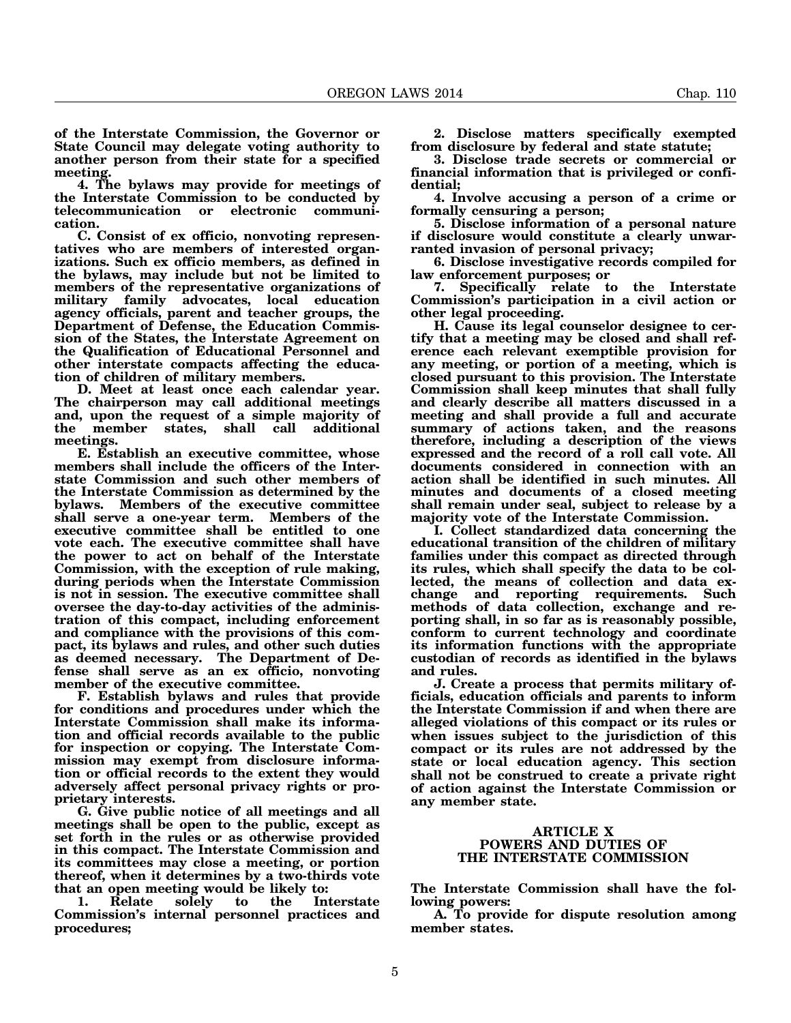**of the Interstate Commission, the Governor or State Council may delegate voting authority to another person from their state for a specified meeting.**

**4. The bylaws may provide for meetings of the Interstate Commission to be conducted by telecommunication or electronic communication.**

**C. Consist of ex officio, nonvoting representatives who are members of interested organizations. Such ex officio members, as defined in the bylaws, may include but not be limited to members of the representative organizations of** family advocates, local education **agency officials, parent and teacher groups, the Department of Defense, the Education Commission of the States, the Interstate Agreement on the Qualification of Educational Personnel and other interstate compacts affecting the education of children of military members.**

**D. Meet at least once each calendar year. The chairperson may call additional meetings and, upon the request of a simple majority of the member states, shall call additional meetings.**

**E. Establish an executive committee, whose members shall include the officers of the Interstate Commission and such other members of the Interstate Commission as determined by the bylaws. Members of the executive committee shall serve a one-year term. Members of the executive committee shall be entitled to one vote each. The executive committee shall have the power to act on behalf of the Interstate Commission, with the exception of rule making, during periods when the Interstate Commission is not in session. The executive committee shall oversee the day-to-day activities of the administration of this compact, including enforcement and compliance with the provisions of this compact, its bylaws and rules, and other such duties as deemed necessary. The Department of Defense shall serve as an ex officio, nonvoting member of the executive committee.**

**F. Establish bylaws and rules that provide for conditions and procedures under which the Interstate Commission shall make its information and official records available to the public for inspection or copying. The Interstate Commission may exempt from disclosure information or official records to the extent they would adversely affect personal privacy rights or proprietary interests.**

**G. Give public notice of all meetings and all meetings shall be open to the public, except as set forth in the rules or as otherwise provided in this compact. The Interstate Commission and its committees may close a meeting, or portion thereof, when it determines by a two-thirds vote**

**that an open meeting would be likely to: 1. Relate solely to the Interstate Commission's internal personnel practices and procedures;**

**2. Disclose matters specifically exempted from disclosure by federal and state statute;**

**3. Disclose trade secrets or commercial or financial information that is privileged or confidential;**

**4. Involve accusing a person of a crime or formally censuring a person;**

**5. Disclose information of a personal nature if disclosure would constitute a clearly unwarranted invasion of personal privacy;**

**6. Disclose investigative records compiled for law enforcement purposes; or**

**7. Specifically relate to the Interstate Commission's participation in a civil action or other legal proceeding.**

**H. Cause its legal counselor designee to certify that a meeting may be closed and shall reference each relevant exemptible provision for any meeting, or portion of a meeting, which is closed pursuant to this provision. The Interstate Commission shall keep minutes that shall fully and clearly describe all matters discussed in a meeting and shall provide a full and accurate summary of actions taken, and the reasons therefore, including a description of the views expressed and the record of a roll call vote. All documents considered in connection with an action shall be identified in such minutes. All minutes and documents of a closed meeting shall remain under seal, subject to release by a majority vote of the Interstate Commission.**

**I. Collect standardized data concerning the educational transition of the children of military families under this compact as directed through its rules, which shall specify the data to be collected, the means of collection and data exchange and reporting requirements. Such methods of data collection, exchange and reporting shall, in so far as is reasonably possible, conform to current technology and coordinate its information functions with the appropriate custodian of records as identified in the bylaws and rules.**

**J. Create a process that permits military officials, education officials and parents to inform the Interstate Commission if and when there are alleged violations of this compact or its rules or when issues subject to the jurisdiction of this compact or its rules are not addressed by the state or local education agency. This section shall not be construed to create a private right of action against the Interstate Commission or any member state.**

### **ARTICLE X POWERS AND DUTIES OF THE INTERSTATE COMMISSION**

**The Interstate Commission shall have the following powers:**

**A. To provide for dispute resolution among member states.**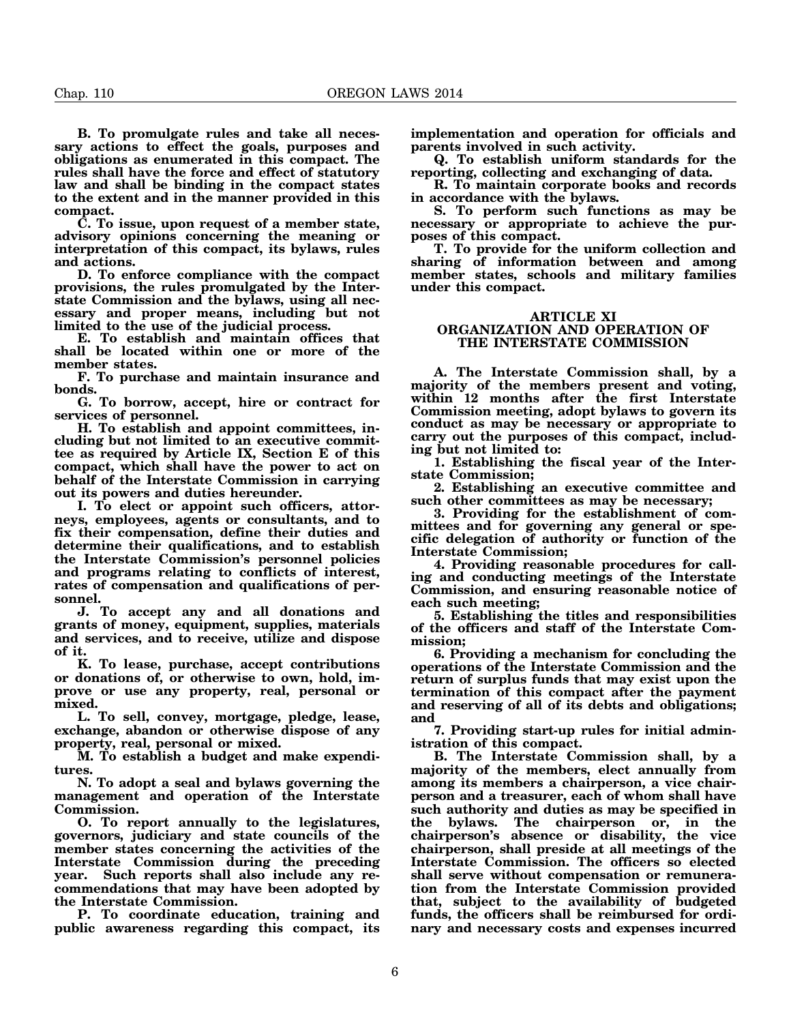**B. To promulgate rules and take all necessary actions to effect the goals, purposes and obligations as enumerated in this compact. The rules shall have the force and effect of statutory law and shall be binding in the compact states to the extent and in the manner provided in this compact.**

**C. To issue, upon request of a member state, advisory opinions concerning the meaning or interpretation of this compact, its bylaws, rules and actions.**

**D. To enforce compliance with the compact provisions, the rules promulgated by the Interstate Commission and the bylaws, using all necessary and proper means, including but not limited to the use of the judicial process.**

**E. To establish and maintain offices that shall be located within one or more of the member states.**

**F. To purchase and maintain insurance and bonds.**

**G. To borrow, accept, hire or contract for services of personnel.**

**H. To establish and appoint committees, including but not limited to an executive committee as required by Article IX, Section E of this compact, which shall have the power to act on behalf of the Interstate Commission in carrying out its powers and duties hereunder.**

**I. To elect or appoint such officers, attorneys, employees, agents or consultants, and to fix their compensation, define their duties and determine their qualifications, and to establish the Interstate Commission's personnel policies and programs relating to conflicts of interest, rates of compensation and qualifications of personnel.**

**J. To accept any and all donations and grants of money, equipment, supplies, materials and services, and to receive, utilize and dispose of it.**

**K. To lease, purchase, accept contributions or donations of, or otherwise to own, hold, improve or use any property, real, personal or mixed.**

**L. To sell, convey, mortgage, pledge, lease, exchange, abandon or otherwise dispose of any property, real, personal or mixed.**

**M. To establish a budget and make expenditures.**

**N. To adopt a seal and bylaws governing the management and operation of the Interstate Commission.**

**O. To report annually to the legislatures, governors, judiciary and state councils of the member states concerning the activities of the Interstate Commission during the preceding year. Such reports shall also include any recommendations that may have been adopted by the Interstate Commission.**

**P. To coordinate education, training and public awareness regarding this compact, its** **implementation and operation for officials and parents involved in such activity.**

**Q. To establish uniform standards for the reporting, collecting and exchanging of data.**

**R. To maintain corporate books and records in accordance with the bylaws.**

**S. To perform such functions as may be necessary or appropriate to achieve the purposes of this compact.**

**T. To provide for the uniform collection and sharing of information between and among member states, schools and military families under this compact.**

#### **ARTICLE XI ORGANIZATION AND OPERATION OF THE INTERSTATE COMMISSION**

**A. The Interstate Commission shall, by a majority of the members present and voting, within 12 months after the first Interstate Commission meeting, adopt bylaws to govern its conduct as may be necessary or appropriate to carry out the purposes of this compact, including but not limited to:**

**1. Establishing the fiscal year of the Interstate Commission;**

**2. Establishing an executive committee and such other committees as may be necessary;**

**3. Providing for the establishment of committees and for governing any general or specific delegation of authority or function of the Interstate Commission;**

**4. Providing reasonable procedures for calling and conducting meetings of the Interstate Commission, and ensuring reasonable notice of each such meeting;**

**5. Establishing the titles and responsibilities of the officers and staff of the Interstate Commission;**

**6. Providing a mechanism for concluding the operations of the Interstate Commission and the return of surplus funds that may exist upon the termination of this compact after the payment and reserving of all of its debts and obligations; and**

**7. Providing start-up rules for initial administration of this compact.**

**B. The Interstate Commission shall, by a majority of the members, elect annually from among its members a chairperson, a vice chairperson and a treasurer, each of whom shall have such authority and duties as may be specified in the bylaws. The chairperson or, in the chairperson's absence or disability, the vice chairperson, shall preside at all meetings of the Interstate Commission. The officers so elected shall serve without compensation or remuneration from the Interstate Commission provided that, subject to the availability of budgeted funds, the officers shall be reimbursed for ordinary and necessary costs and expenses incurred**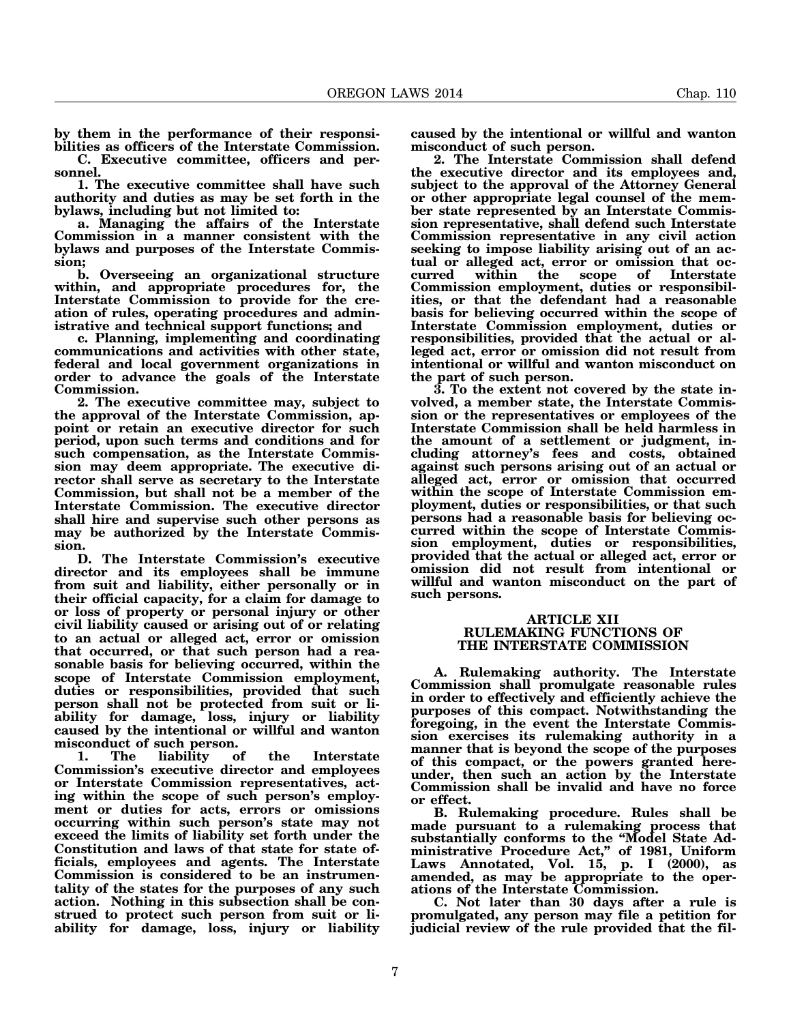**by them in the performance of their responsibilities as officers of the Interstate Commission.**

**C. Executive committee, officers and personnel.**

**1. The executive committee shall have such authority and duties as may be set forth in the bylaws, including but not limited to:**

**a. Managing the affairs of the Interstate Commission in a manner consistent with the bylaws and purposes of the Interstate Commission;**

**b. Overseeing an organizational structure within, and appropriate procedures for, the Interstate Commission to provide for the creation of rules, operating procedures and administrative and technical support functions; and**

**c. Planning, implementing and coordinating communications and activities with other state, federal and local government organizations in order to advance the goals of the Interstate Commission.**

**2. The executive committee may, subject to the approval of the Interstate Commission, appoint or retain an executive director for such period, upon such terms and conditions and for such compensation, as the Interstate Commission may deem appropriate. The executive director shall serve as secretary to the Interstate Commission, but shall not be a member of the Interstate Commission. The executive director shall hire and supervise such other persons as may be authorized by the Interstate Commission.**

**D. The Interstate Commission's executive director and its employees shall be immune from suit and liability, either personally or in their official capacity, for a claim for damage to or loss of property or personal injury or other civil liability caused or arising out of or relating to an actual or alleged act, error or omission that occurred, or that such person had a reasonable basis for believing occurred, within the scope of Interstate Commission employment, duties or responsibilities, provided that such person shall not be protected from suit or liability for damage, loss, injury or liability caused by the intentional or willful and wanton misconduct of such person.**

 **1. The liability of the Interstate Commission's executive director and employees or Interstate Commission representatives, acting within the scope of such person's employment or duties for acts, errors or omissions occurring within such person's state may not exceed the limits of liability set forth under the Constitution and laws of that state for state officials, employees and agents. The Interstate Commission is considered to be an instrumentality of the states for the purposes of any such action. Nothing in this subsection shall be construed to protect such person from suit or liability for damage, loss, injury or liability**

**caused by the intentional or willful and wanton misconduct of such person.**

**2. The Interstate Commission shall defend the executive director and its employees and, subject to the approval of the Attorney General or other appropriate legal counsel of the member state represented by an Interstate Commission representative, shall defend such Interstate Commission representative in any civil action seeking to impose liability arising out of an actual or alleged act, error or omission that occurred within the scope of Interstate Commission employment, duties or responsibilities, or that the defendant had a reasonable basis for believing occurred within the scope of Interstate Commission employment, duties or responsibilities, provided that the actual or alleged act, error or omission did not result from intentional or willful and wanton misconduct on the part of such person.**

**3. To the extent not covered by the state involved, a member state, the Interstate Commission or the representatives or employees of the Interstate Commission shall be held harmless in the amount of a settlement or judgment, including attorney's fees and costs, obtained against such persons arising out of an actual or alleged act, error or omission that occurred within the scope of Interstate Commission employment, duties or responsibilities, or that such persons had a reasonable basis for believing occurred within the scope of Interstate Commission employment, duties or responsibilities, provided that the actual or alleged act, error or omission did not result from intentional or willful and wanton misconduct on the part of such persons.**

#### **ARTICLE XII RULEMAKING FUNCTIONS OF THE INTERSTATE COMMISSION**

**A. Rulemaking authority. The Interstate Commission shall promulgate reasonable rules in order to effectively and efficiently achieve the purposes of this compact. Notwithstanding the foregoing, in the event the Interstate Commission exercises its rulemaking authority in a manner that is beyond the scope of the purposes of this compact, or the powers granted hereunder, then such an action by the Interstate Commission shall be invalid and have no force or effect.**

**B. Rulemaking procedure. Rules shall be made pursuant to a rulemaking process that substantially conforms to the "Model State Administrative Procedure Act," of 1981, Uniform Laws Annotated, Vol. 15, p. I (2000), as amended, as may be appropriate to the operations of the Interstate Commission.**

**C. Not later than 30 days after a rule is promulgated, any person may file a petition for judicial review of the rule provided that the fil-**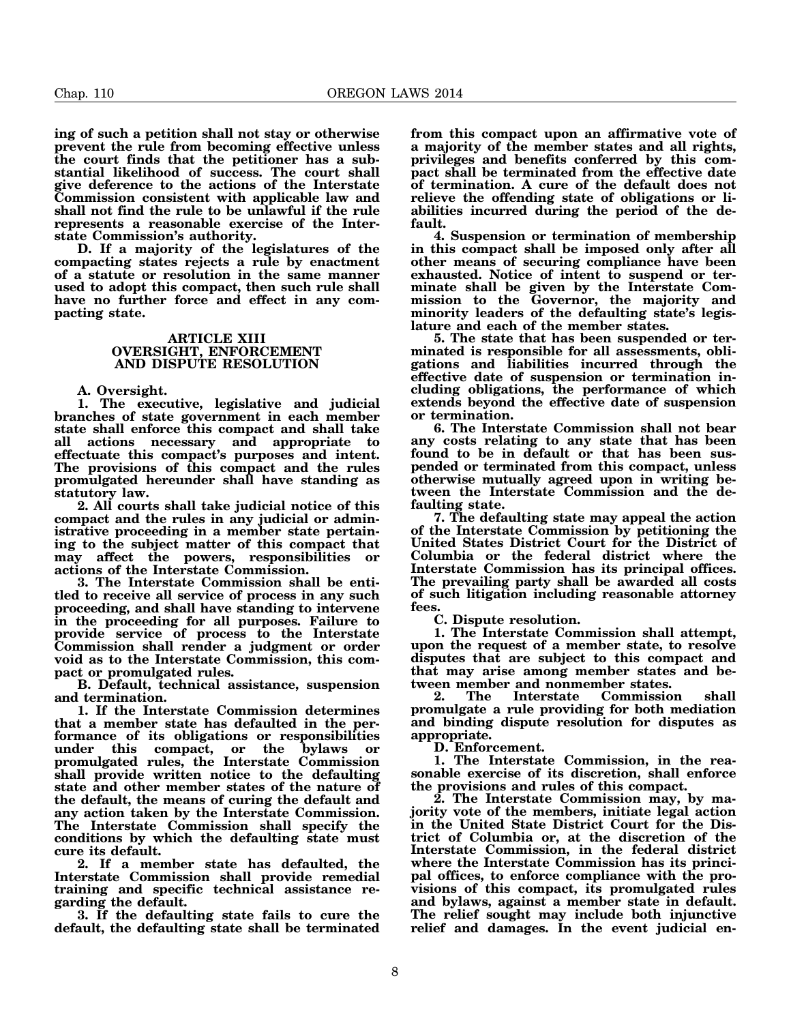**ing of such a petition shall not stay or otherwise prevent the rule from becoming effective unless the court finds that the petitioner has a substantial likelihood of success. The court shall give deference to the actions of the Interstate Commission consistent with applicable law and shall not find the rule to be unlawful if the rule represents a reasonable exercise of the Interstate Commission's authority.**

**D. If a majority of the legislatures of the compacting states rejects a rule by enactment of a statute or resolution in the same manner used to adopt this compact, then such rule shall have no further force and effect in any compacting state.**

### **ARTICLE XIII OVERSIGHT, ENFORCEMENT AND DISPUTE RESOLUTION**

**A. Oversight.**

**1. The executive, legislative and judicial branches of state government in each member state shall enforce this compact and shall take all actions necessary and appropriate to effectuate this compact's purposes and intent. The provisions of this compact and the rules promulgated hereunder shall have standing as statutory law.**

**2. All courts shall take judicial notice of this compact and the rules in any judicial or administrative proceeding in a member state pertaining to the subject matter of this compact that may affect the powers, responsibilities or actions of the Interstate Commission.**

**3. The Interstate Commission shall be entitled to receive all service of process in any such proceeding, and shall have standing to intervene in the proceeding for all purposes. Failure to provide service of process to the Interstate Commission shall render a judgment or order void as to the Interstate Commission, this compact or promulgated rules.**

**B. Default, technical assistance, suspension and termination.**

**1. If the Interstate Commission determines that a member state has defaulted in the performance of its obligations or responsibilities under this compact, or the bylaws or promulgated rules, the Interstate Commission shall provide written notice to the defaulting state and other member states of the nature of the default, the means of curing the default and any action taken by the Interstate Commission. The Interstate Commission shall specify the conditions by which the defaulting state must cure its default.**

**2. If a member state has defaulted, the Interstate Commission shall provide remedial training and specific technical assistance regarding the default.**

**3. If the defaulting state fails to cure the default, the defaulting state shall be terminated** **from this compact upon an affirmative vote of a majority of the member states and all rights, privileges and benefits conferred by this compact shall be terminated from the effective date of termination. A cure of the default does not relieve the offending state of obligations or liabilities incurred during the period of the default.**

**4. Suspension or termination of membership in this compact shall be imposed only after all other means of securing compliance have been exhausted. Notice of intent to suspend or terminate shall be given by the Interstate Commission to the Governor, the majority and minority leaders of the defaulting state's legislature and each of the member states.**

**5. The state that has been suspended or terminated is responsible for all assessments, obligations and liabilities incurred through the effective date of suspension or termination including obligations, the performance of which extends beyond the effective date of suspension or termination.**

**6. The Interstate Commission shall not bear any costs relating to any state that has been found to be in default or that has been suspended or terminated from this compact, unless otherwise mutually agreed upon in writing between the Interstate Commission and the defaulting state.**

**7. The defaulting state may appeal the action of the Interstate Commission by petitioning the United States District Court for the District of Columbia or the federal district where the Interstate Commission has its principal offices. The prevailing party shall be awarded all costs of such litigation including reasonable attorney fees.**

**C. Dispute resolution.**

**1. The Interstate Commission shall attempt, upon the request of a member state, to resolve disputes that are subject to this compact and that may arise among member states and between member and nonmember states.**

**2. The Interstate Commission shall promulgate a rule providing for both mediation and binding dispute resolution for disputes as appropriate.**

**D. Enforcement.**

**1. The Interstate Commission, in the reasonable exercise of its discretion, shall enforce the provisions and rules of this compact.**

**2. The Interstate Commission may, by majority vote of the members, initiate legal action in the United State District Court for the District of Columbia or, at the discretion of the Interstate Commission, in the federal district where the Interstate Commission has its principal offices, to enforce compliance with the provisions of this compact, its promulgated rules and bylaws, against a member state in default. The relief sought may include both injunctive relief and damages. In the event judicial en-**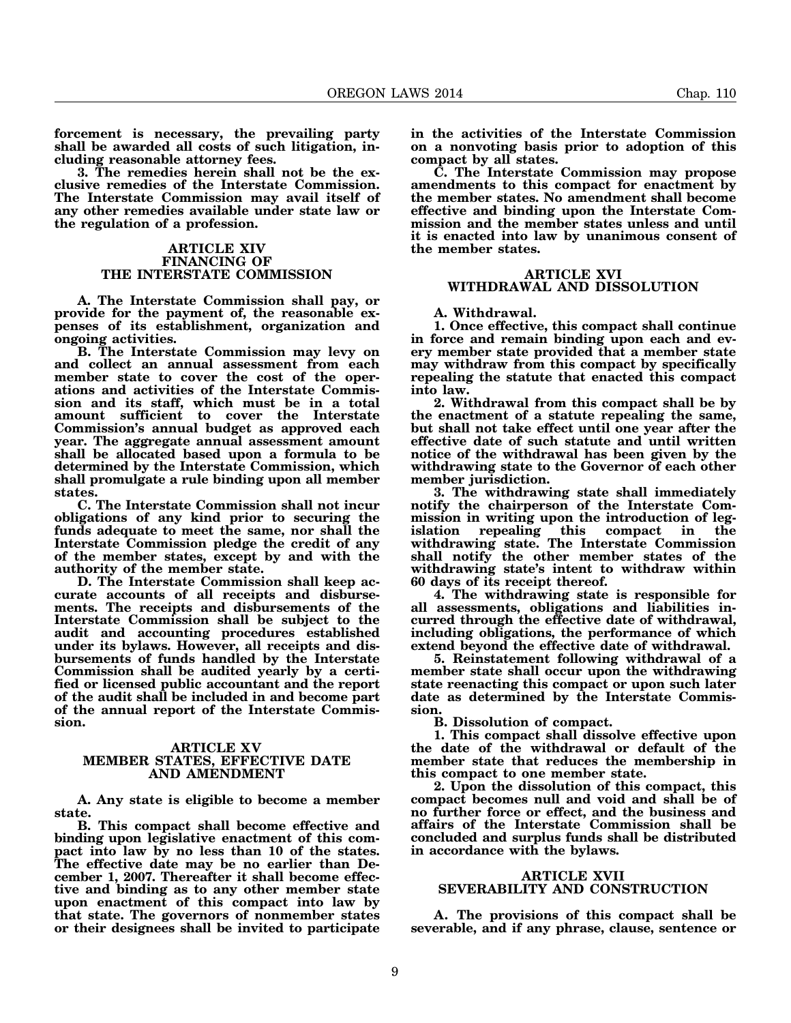**forcement is necessary, the prevailing party shall be awarded all costs of such litigation, including reasonable attorney fees.**

**3. The remedies herein shall not be the exclusive remedies of the Interstate Commission. The Interstate Commission may avail itself of any other remedies available under state law or the regulation of a profession.**

#### **ARTICLE XIV FINANCING OF THE INTERSTATE COMMISSION**

**A. The Interstate Commission shall pay, or provide for the payment of, the reasonable expenses of its establishment, organization and ongoing activities.**

**B. The Interstate Commission may levy on and collect an annual assessment from each member state to cover the cost of the operations and activities of the Interstate Commission and its staff, which must be in a total amount sufficient to cover the Interstate Commission's annual budget as approved each year. The aggregate annual assessment amount shall be allocated based upon a formula to be determined by the Interstate Commission, which shall promulgate a rule binding upon all member states.**

**C. The Interstate Commission shall not incur obligations of any kind prior to securing the funds adequate to meet the same, nor shall the Interstate Commission pledge the credit of any of the member states, except by and with the authority of the member state.**

**D. The Interstate Commission shall keep accurate accounts of all receipts and disbursements. The receipts and disbursements of the Interstate Commission shall be subject to the audit and accounting procedures established under its bylaws. However, all receipts and disbursements of funds handled by the Interstate Commission shall be audited yearly by a certified or licensed public accountant and the report of the audit shall be included in and become part of the annual report of the Interstate Commission.**

### **ARTICLE XV MEMBER STATES, EFFECTIVE DATE AND AMENDMENT**

**A. Any state is eligible to become a member state.**

**B. This compact shall become effective and binding upon legislative enactment of this compact into law by no less than 10 of the states. The effective date may be no earlier than December 1, 2007. Thereafter it shall become effective and binding as to any other member state upon enactment of this compact into law by that state. The governors of nonmember states or their designees shall be invited to participate** **in the activities of the Interstate Commission on a nonvoting basis prior to adoption of this compact by all states.**

**C. The Interstate Commission may propose amendments to this compact for enactment by the member states. No amendment shall become effective and binding upon the Interstate Commission and the member states unless and until it is enacted into law by unanimous consent of the member states.**

### **ARTICLE XVI WITHDRAWAL AND DISSOLUTION**

#### **A. Withdrawal.**

**1. Once effective, this compact shall continue in force and remain binding upon each and every member state provided that a member state may withdraw from this compact by specifically repealing the statute that enacted this compact into law.**

**2. Withdrawal from this compact shall be by the enactment of a statute repealing the same, but shall not take effect until one year after the effective date of such statute and until written notice of the withdrawal has been given by the withdrawing state to the Governor of each other member jurisdiction.**

**3. The withdrawing state shall immediately notify the chairperson of the Interstate Commission in writing upon the introduction of legislation repealing this compact in the withdrawing state. The Interstate Commission shall notify the other member states of the withdrawing state's intent to withdraw within 60 days of its receipt thereof.**

**4. The withdrawing state is responsible for all assessments, obligations and liabilities incurred through the effective date of withdrawal, including obligations, the performance of which extend beyond the effective date of withdrawal.**

**5. Reinstatement following withdrawal of a member state shall occur upon the withdrawing state reenacting this compact or upon such later date as determined by the Interstate Commission.**

**B. Dissolution of compact.**

**1. This compact shall dissolve effective upon the date of the withdrawal or default of the member state that reduces the membership in this compact to one member state.**

**2. Upon the dissolution of this compact, this compact becomes null and void and shall be of no further force or effect, and the business and affairs of the Interstate Commission shall be concluded and surplus funds shall be distributed in accordance with the bylaws.**

### **ARTICLE XVII SEVERABILITY AND CONSTRUCTION**

**A. The provisions of this compact shall be severable, and if any phrase, clause, sentence or**